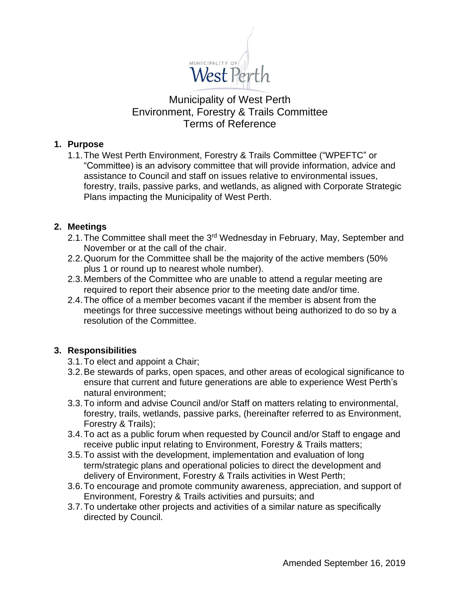

# Municipality of West Perth Environment, Forestry & Trails Committee Terms of Reference

### **1. Purpose**

1.1.The West Perth Environment, Forestry & Trails Committee ("WPEFTC" or "Committee) is an advisory committee that will provide information, advice and assistance to Council and staff on issues relative to environmental issues, forestry, trails, passive parks, and wetlands, as aligned with Corporate Strategic Plans impacting the Municipality of West Perth.

## **2. Meetings**

- 2.1. The Committee shall meet the 3<sup>rd</sup> Wednesday in February, May, September and November or at the call of the chair.
- 2.2.Quorum for the Committee shall be the majority of the active members (50% plus 1 or round up to nearest whole number).
- 2.3.Members of the Committee who are unable to attend a regular meeting are required to report their absence prior to the meeting date and/or time.
- 2.4.The office of a member becomes vacant if the member is absent from the meetings for three successive meetings without being authorized to do so by a resolution of the Committee.

## **3. Responsibilities**

- 3.1.To elect and appoint a Chair;
- 3.2.Be stewards of parks, open spaces, and other areas of ecological significance to ensure that current and future generations are able to experience West Perth's natural environment;
- 3.3.To inform and advise Council and/or Staff on matters relating to environmental, forestry, trails, wetlands, passive parks, (hereinafter referred to as Environment, Forestry & Trails);
- 3.4.To act as a public forum when requested by Council and/or Staff to engage and receive public input relating to Environment, Forestry & Trails matters;
- 3.5.To assist with the development, implementation and evaluation of long term/strategic plans and operational policies to direct the development and delivery of Environment, Forestry & Trails activities in West Perth;
- 3.6.To encourage and promote community awareness, appreciation, and support of Environment, Forestry & Trails activities and pursuits; and
- 3.7.To undertake other projects and activities of a similar nature as specifically directed by Council.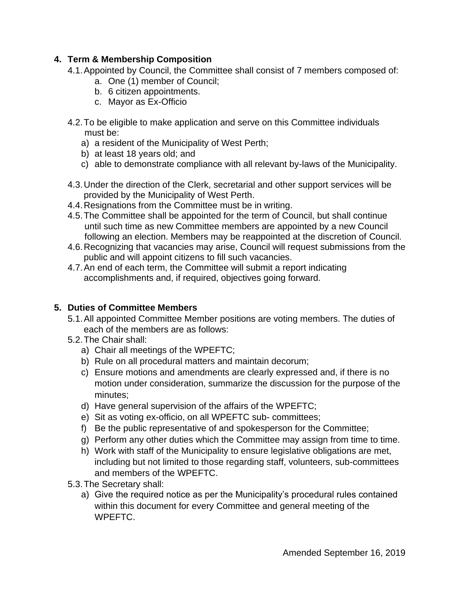# **4. Term & Membership Composition**

- 4.1.Appointed by Council, the Committee shall consist of 7 members composed of:
	- a. One (1) member of Council;
	- b. 6 citizen appointments.
	- c. Mayor as Ex-Officio
- 4.2.To be eligible to make application and serve on this Committee individuals must be:
	- a) a resident of the Municipality of West Perth;
	- b) at least 18 years old; and
	- c) able to demonstrate compliance with all relevant by-laws of the Municipality.
- 4.3.Under the direction of the Clerk, secretarial and other support services will be provided by the Municipality of West Perth.
- 4.4.Resignations from the Committee must be in writing.
- 4.5.The Committee shall be appointed for the term of Council, but shall continue until such time as new Committee members are appointed by a new Council following an election. Members may be reappointed at the discretion of Council.
- 4.6.Recognizing that vacancies may arise, Council will request submissions from the public and will appoint citizens to fill such vacancies.
- 4.7.An end of each term, the Committee will submit a report indicating accomplishments and, if required, objectives going forward.

# **5. Duties of Committee Members**

- 5.1.All appointed Committee Member positions are voting members. The duties of each of the members are as follows:
- 5.2.The Chair shall:
	- a) Chair all meetings of the WPEFTC;
	- b) Rule on all procedural matters and maintain decorum;
	- c) Ensure motions and amendments are clearly expressed and, if there is no motion under consideration, summarize the discussion for the purpose of the minutes;
	- d) Have general supervision of the affairs of the WPEFTC;
	- e) Sit as voting ex-officio, on all WPEFTC sub- committees;
	- f) Be the public representative of and spokesperson for the Committee;
	- g) Perform any other duties which the Committee may assign from time to time.
	- h) Work with staff of the Municipality to ensure legislative obligations are met, including but not limited to those regarding staff, volunteers, sub-committees and members of the WPEFTC.
- 5.3.The Secretary shall:
	- a) Give the required notice as per the Municipality's procedural rules contained within this document for every Committee and general meeting of the WPEFTC.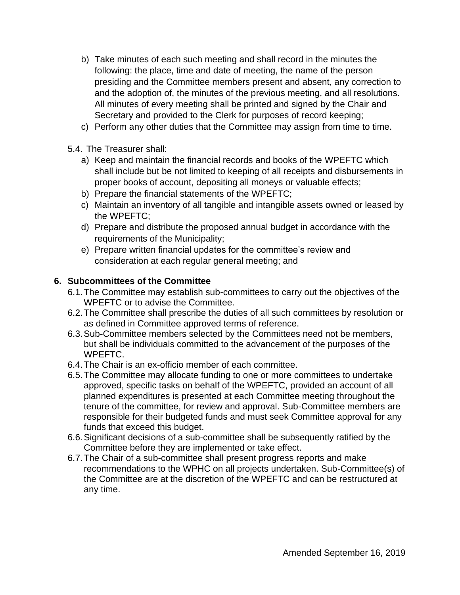- b) Take minutes of each such meeting and shall record in the minutes the following: the place, time and date of meeting, the name of the person presiding and the Committee members present and absent, any correction to and the adoption of, the minutes of the previous meeting, and all resolutions. All minutes of every meeting shall be printed and signed by the Chair and Secretary and provided to the Clerk for purposes of record keeping;
- c) Perform any other duties that the Committee may assign from time to time.
- 5.4. The Treasurer shall:
	- a) Keep and maintain the financial records and books of the WPEFTC which shall include but be not limited to keeping of all receipts and disbursements in proper books of account, depositing all moneys or valuable effects;
	- b) Prepare the financial statements of the WPEFTC;
	- c) Maintain an inventory of all tangible and intangible assets owned or leased by the WPEFTC;
	- d) Prepare and distribute the proposed annual budget in accordance with the requirements of the Municipality;
	- e) Prepare written financial updates for the committee's review and consideration at each regular general meeting; and

## **6. Subcommittees of the Committee**

- 6.1.The Committee may establish sub-committees to carry out the objectives of the WPEFTC or to advise the Committee.
- 6.2.The Committee shall prescribe the duties of all such committees by resolution or as defined in Committee approved terms of reference.
- 6.3.Sub-Committee members selected by the Committees need not be members, but shall be individuals committed to the advancement of the purposes of the WPEFTC.
- 6.4.The Chair is an ex-officio member of each committee.
- 6.5.The Committee may allocate funding to one or more committees to undertake approved, specific tasks on behalf of the WPEFTC, provided an account of all planned expenditures is presented at each Committee meeting throughout the tenure of the committee, for review and approval. Sub-Committee members are responsible for their budgeted funds and must seek Committee approval for any funds that exceed this budget.
- 6.6.Significant decisions of a sub-committee shall be subsequently ratified by the Committee before they are implemented or take effect.
- 6.7.The Chair of a sub-committee shall present progress reports and make recommendations to the WPHC on all projects undertaken. Sub-Committee(s) of the Committee are at the discretion of the WPEFTC and can be restructured at any time.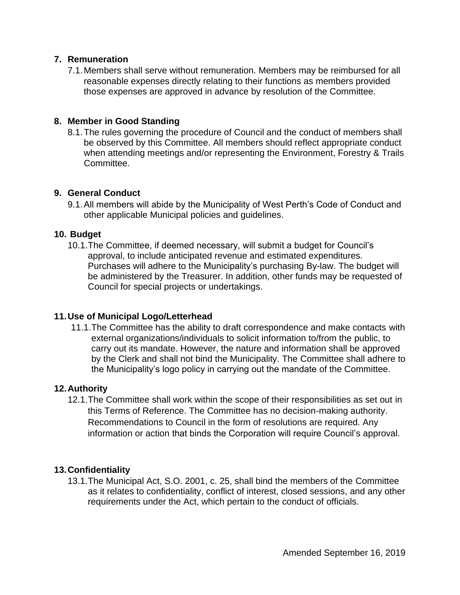### **7. Remuneration**

7.1.Members shall serve without remuneration. Members may be reimbursed for all reasonable expenses directly relating to their functions as members provided those expenses are approved in advance by resolution of the Committee.

## **8. Member in Good Standing**

8.1.The rules governing the procedure of Council and the conduct of members shall be observed by this Committee. All members should reflect appropriate conduct when attending meetings and/or representing the Environment, Forestry & Trails Committee.

### **9. General Conduct**

9.1.All members will abide by the Municipality of West Perth's Code of Conduct and other applicable Municipal policies and guidelines.

## **10. Budget**

10.1.The Committee, if deemed necessary, will submit a budget for Council's approval, to include anticipated revenue and estimated expenditures. Purchases will adhere to the Municipality's purchasing By-law. The budget will be administered by the Treasurer. In addition, other funds may be requested of Council for special projects or undertakings.

### **11.Use of Municipal Logo/Letterhead**

11.1.The Committee has the ability to draft correspondence and make contacts with external organizations/individuals to solicit information to/from the public, to carry out its mandate. However, the nature and information shall be approved by the Clerk and shall not bind the Municipality. The Committee shall adhere to the Municipality's logo policy in carrying out the mandate of the Committee.

### **12.Authority**

12.1.The Committee shall work within the scope of their responsibilities as set out in this Terms of Reference. The Committee has no decision-making authority. Recommendations to Council in the form of resolutions are required. Any information or action that binds the Corporation will require Council's approval.

### **13.Confidentiality**

13.1.The Municipal Act, S.O. 2001, c. 25, shall bind the members of the Committee as it relates to confidentiality, conflict of interest, closed sessions, and any other requirements under the Act, which pertain to the conduct of officials.